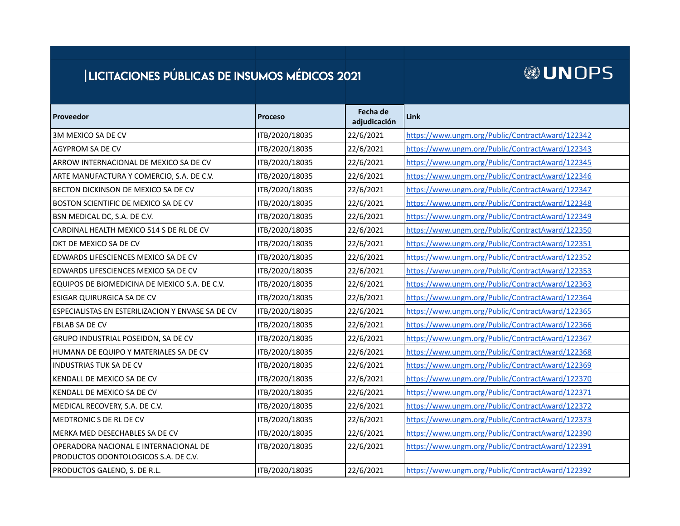## | LICITACIONES PÚBLICAS DE INSUMOS MÉDICOS 2021

## **@UNOPS**

| Proveedor                                                                     | <b>Proceso</b> | Fecha de<br>adjudicación | Link                                             |
|-------------------------------------------------------------------------------|----------------|--------------------------|--------------------------------------------------|
| 3M MEXICO SA DE CV                                                            | ITB/2020/18035 | 22/6/2021                | https://www.ungm.org/Public/ContractAward/122342 |
| <b>AGYPROM SA DE CV</b>                                                       | ITB/2020/18035 | 22/6/2021                | https://www.ungm.org/Public/ContractAward/122343 |
| ARROW INTERNACIONAL DE MEXICO SA DE CV                                        | ITB/2020/18035 | 22/6/2021                | https://www.ungm.org/Public/ContractAward/122345 |
| ARTE MANUFACTURA Y COMERCIO, S.A. DE C.V.                                     | ITB/2020/18035 | 22/6/2021                | https://www.ungm.org/Public/ContractAward/122346 |
| BECTON DICKINSON DE MEXICO SA DE CV                                           | ITB/2020/18035 | 22/6/2021                | https://www.ungm.org/Public/ContractAward/122347 |
| BOSTON SCIENTIFIC DE MEXICO SA DE CV                                          | ITB/2020/18035 | 22/6/2021                | https://www.ungm.org/Public/ContractAward/122348 |
| BSN MEDICAL DC, S.A. DE C.V.                                                  | ITB/2020/18035 | 22/6/2021                | https://www.ungm.org/Public/ContractAward/122349 |
| CARDINAL HEALTH MEXICO 514 S DE RL DE CV                                      | ITB/2020/18035 | 22/6/2021                | https://www.ungm.org/Public/ContractAward/122350 |
| DKT DE MEXICO SA DE CV                                                        | ITB/2020/18035 | 22/6/2021                | https://www.ungm.org/Public/ContractAward/122351 |
| EDWARDS LIFESCIENCES MEXICO SA DE CV                                          | ITB/2020/18035 | 22/6/2021                | https://www.ungm.org/Public/ContractAward/122352 |
| EDWARDS LIFESCIENCES MEXICO SA DE CV                                          | ITB/2020/18035 | 22/6/2021                | https://www.ungm.org/Public/ContractAward/122353 |
| EQUIPOS DE BIOMEDICINA DE MEXICO S.A. DE C.V.                                 | ITB/2020/18035 | 22/6/2021                | https://www.ungm.org/Public/ContractAward/122363 |
| <b>ESIGAR QUIRURGICA SA DE CV</b>                                             | ITB/2020/18035 | 22/6/2021                | https://www.ungm.org/Public/ContractAward/122364 |
| ESPECIALISTAS EN ESTERILIZACION Y ENVASE SA DE CV                             | ITB/2020/18035 | 22/6/2021                | https://www.ungm.org/Public/ContractAward/122365 |
| <b>FBLAB SA DE CV</b>                                                         | ITB/2020/18035 | 22/6/2021                | https://www.ungm.org/Public/ContractAward/122366 |
| GRUPO INDUSTRIAL POSEIDON, SA DE CV                                           | ITB/2020/18035 | 22/6/2021                | https://www.ungm.org/Public/ContractAward/122367 |
| HUMANA DE EQUIPO Y MATERIALES SA DE CV                                        | ITB/2020/18035 | 22/6/2021                | https://www.ungm.org/Public/ContractAward/122368 |
| <b>INDUSTRIAS TUK SA DE CV</b>                                                | ITB/2020/18035 | 22/6/2021                | https://www.ungm.org/Public/ContractAward/122369 |
| KENDALL DE MEXICO SA DE CV                                                    | ITB/2020/18035 | 22/6/2021                | https://www.ungm.org/Public/ContractAward/122370 |
| KENDALL DE MEXICO SA DE CV                                                    | ITB/2020/18035 | 22/6/2021                | https://www.ungm.org/Public/ContractAward/122371 |
| MEDICAL RECOVERY, S.A. DE C.V.                                                | ITB/2020/18035 | 22/6/2021                | https://www.ungm.org/Public/ContractAward/122372 |
| MEDTRONIC S DE RL DE CV                                                       | ITB/2020/18035 | 22/6/2021                | https://www.ungm.org/Public/ContractAward/122373 |
| <b>MERKA MED DESECHABLES SA DE CV</b>                                         | ITB/2020/18035 | 22/6/2021                | https://www.ungm.org/Public/ContractAward/122390 |
| OPERADORA NACIONAL E INTERNACIONAL DE<br>PRODUCTOS ODONTOLOGICOS S.A. DE C.V. | ITB/2020/18035 | 22/6/2021                | https://www.ungm.org/Public/ContractAward/122391 |
| PRODUCTOS GALENO, S. DE R.L.                                                  | ITB/2020/18035 | 22/6/2021                | https://www.ungm.org/Public/ContractAward/122392 |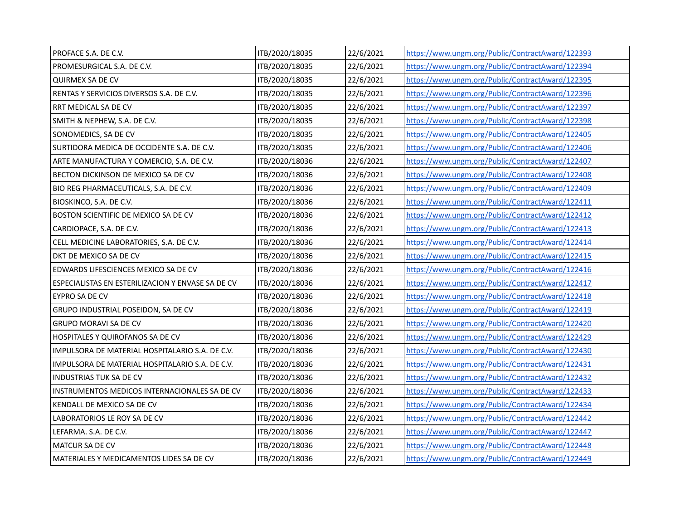| PROFACE S.A. DE C.V.                              | ITB/2020/18035 | 22/6/2021 | https://www.ungm.org/Public/ContractAward/122393 |
|---------------------------------------------------|----------------|-----------|--------------------------------------------------|
| PROMESURGICAL S.A. DE C.V.                        | ITB/2020/18035 | 22/6/2021 | https://www.ungm.org/Public/ContractAward/122394 |
| QUIRMEX SA DE CV                                  | ITB/2020/18035 | 22/6/2021 | https://www.ungm.org/Public/ContractAward/122395 |
| RENTAS Y SERVICIOS DIVERSOS S.A. DE C.V.          | ITB/2020/18035 | 22/6/2021 | https://www.ungm.org/Public/ContractAward/122396 |
| RRT MEDICAL SA DE CV                              | ITB/2020/18035 | 22/6/2021 | https://www.ungm.org/Public/ContractAward/122397 |
| SMITH & NEPHEW, S.A. DE C.V.                      | ITB/2020/18035 | 22/6/2021 | https://www.ungm.org/Public/ContractAward/122398 |
| SONOMEDICS, SA DE CV                              | ITB/2020/18035 | 22/6/2021 | https://www.ungm.org/Public/ContractAward/122405 |
| SURTIDORA MEDICA DE OCCIDENTE S.A. DE C.V.        | ITB/2020/18035 | 22/6/2021 | https://www.ungm.org/Public/ContractAward/122406 |
| ARTE MANUFACTURA Y COMERCIO, S.A. DE C.V.         | ITB/2020/18036 | 22/6/2021 | https://www.ungm.org/Public/ContractAward/122407 |
| BECTON DICKINSON DE MEXICO SA DE CV               | ITB/2020/18036 | 22/6/2021 | https://www.ungm.org/Public/ContractAward/122408 |
| BIO REG PHARMACEUTICALS, S.A. DE C.V.             | ITB/2020/18036 | 22/6/2021 | https://www.ungm.org/Public/ContractAward/122409 |
| BIOSKINCO, S.A. DE C.V.                           | ITB/2020/18036 | 22/6/2021 | https://www.ungm.org/Public/ContractAward/122411 |
| BOSTON SCIENTIFIC DE MEXICO SA DE CV              | ITB/2020/18036 | 22/6/2021 | https://www.ungm.org/Public/ContractAward/122412 |
| CARDIOPACE, S.A. DE C.V.                          | ITB/2020/18036 | 22/6/2021 | https://www.ungm.org/Public/ContractAward/122413 |
| CELL MEDICINE LABORATORIES, S.A. DE C.V.          | ITB/2020/18036 | 22/6/2021 | https://www.ungm.org/Public/ContractAward/122414 |
| DKT DE MEXICO SA DE CV                            | ITB/2020/18036 | 22/6/2021 | https://www.ungm.org/Public/ContractAward/122415 |
| EDWARDS LIFESCIENCES MEXICO SA DE CV              | ITB/2020/18036 | 22/6/2021 | https://www.ungm.org/Public/ContractAward/122416 |
| ESPECIALISTAS EN ESTERILIZACION Y ENVASE SA DE CV | ITB/2020/18036 | 22/6/2021 | https://www.ungm.org/Public/ContractAward/122417 |
| EYPRO SA DE CV                                    | ITB/2020/18036 | 22/6/2021 | https://www.ungm.org/Public/ContractAward/122418 |
| GRUPO INDUSTRIAL POSEIDON, SA DE CV               | ITB/2020/18036 | 22/6/2021 | https://www.ungm.org/Public/ContractAward/122419 |
| <b>GRUPO MORAVI SA DE CV</b>                      | ITB/2020/18036 | 22/6/2021 | https://www.ungm.org/Public/ContractAward/122420 |
| HOSPITALES Y QUIROFANOS SA DE CV                  | ITB/2020/18036 | 22/6/2021 | https://www.ungm.org/Public/ContractAward/122429 |
| IMPULSORA DE MATERIAL HOSPITALARIO S.A. DE C.V.   | ITB/2020/18036 | 22/6/2021 | https://www.ungm.org/Public/ContractAward/122430 |
| IMPULSORA DE MATERIAL HOSPITALARIO S.A. DE C.V.   | ITB/2020/18036 | 22/6/2021 | https://www.ungm.org/Public/ContractAward/122431 |
| <b>INDUSTRIAS TUK SA DE CV</b>                    | ITB/2020/18036 | 22/6/2021 | https://www.ungm.org/Public/ContractAward/122432 |
| INSTRUMENTOS MEDICOS INTERNACIONALES SA DE CV     | ITB/2020/18036 | 22/6/2021 | https://www.ungm.org/Public/ContractAward/122433 |
| KENDALL DE MEXICO SA DE CV                        | ITB/2020/18036 | 22/6/2021 | https://www.ungm.org/Public/ContractAward/122434 |
| LABORATORIOS LE ROY SA DE CV                      | ITB/2020/18036 | 22/6/2021 | https://www.ungm.org/Public/ContractAward/122442 |
| LEFARMA. S.A. DE C.V.                             | ITB/2020/18036 | 22/6/2021 | https://www.ungm.org/Public/ContractAward/122447 |
| MATCUR SA DE CV                                   | ITB/2020/18036 | 22/6/2021 | https://www.ungm.org/Public/ContractAward/122448 |
| MATERIALES Y MEDICAMENTOS LIDES SA DE CV          | ITB/2020/18036 | 22/6/2021 | https://www.ungm.org/Public/ContractAward/122449 |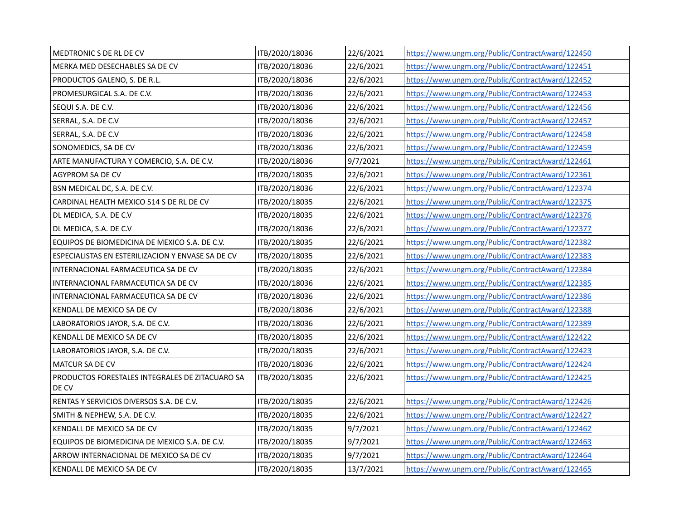| MEDTRONIC S DE RL DE CV                                  | ITB/2020/18036 | 22/6/2021 | https://www.ungm.org/Public/ContractAward/122450 |
|----------------------------------------------------------|----------------|-----------|--------------------------------------------------|
| MERKA MED DESECHABLES SA DE CV                           | ITB/2020/18036 | 22/6/2021 | https://www.ungm.org/Public/ContractAward/122451 |
| PRODUCTOS GALENO, S. DE R.L.                             | ITB/2020/18036 | 22/6/2021 | https://www.ungm.org/Public/ContractAward/122452 |
| PROMESURGICAL S.A. DE C.V.                               | ITB/2020/18036 | 22/6/2021 | https://www.ungm.org/Public/ContractAward/122453 |
| SEQUI S.A. DE C.V.                                       | ITB/2020/18036 | 22/6/2021 | https://www.ungm.org/Public/ContractAward/122456 |
| SERRAL, S.A. DE C.V                                      | ITB/2020/18036 | 22/6/2021 | https://www.ungm.org/Public/ContractAward/122457 |
| SERRAL, S.A. DE C.V                                      | ITB/2020/18036 | 22/6/2021 | https://www.ungm.org/Public/ContractAward/122458 |
| SONOMEDICS, SA DE CV                                     | ITB/2020/18036 | 22/6/2021 | https://www.ungm.org/Public/ContractAward/122459 |
| ARTE MANUFACTURA Y COMERCIO, S.A. DE C.V.                | ITB/2020/18036 | 9/7/2021  | https://www.ungm.org/Public/ContractAward/122461 |
| AGYPROM SA DE CV                                         | ITB/2020/18035 | 22/6/2021 | https://www.ungm.org/Public/ContractAward/122361 |
| BSN MEDICAL DC, S.A. DE C.V.                             | ITB/2020/18036 | 22/6/2021 | https://www.ungm.org/Public/ContractAward/122374 |
| CARDINAL HEALTH MEXICO 514 S DE RL DE CV                 | ITB/2020/18035 | 22/6/2021 | https://www.ungm.org/Public/ContractAward/122375 |
| DL MEDICA, S.A. DE C.V                                   | ITB/2020/18035 | 22/6/2021 | https://www.ungm.org/Public/ContractAward/122376 |
| DL MEDICA, S.A. DE C.V                                   | ITB/2020/18036 | 22/6/2021 | https://www.ungm.org/Public/ContractAward/122377 |
| EQUIPOS DE BIOMEDICINA DE MEXICO S.A. DE C.V.            | ITB/2020/18035 | 22/6/2021 | https://www.ungm.org/Public/ContractAward/122382 |
| ESPECIALISTAS EN ESTERILIZACION Y ENVASE SA DE CV        | ITB/2020/18035 | 22/6/2021 | https://www.ungm.org/Public/ContractAward/122383 |
| INTERNACIONAL FARMACEUTICA SA DE CV                      | ITB/2020/18035 | 22/6/2021 | https://www.ungm.org/Public/ContractAward/122384 |
| INTERNACIONAL FARMACEUTICA SA DE CV                      | ITB/2020/18036 | 22/6/2021 | https://www.ungm.org/Public/ContractAward/122385 |
| INTERNACIONAL FARMACEUTICA SA DE CV                      | ITB/2020/18036 | 22/6/2021 | https://www.ungm.org/Public/ContractAward/122386 |
| KENDALL DE MEXICO SA DE CV                               | ITB/2020/18036 | 22/6/2021 | https://www.ungm.org/Public/ContractAward/122388 |
| LABORATORIOS JAYOR, S.A. DE C.V.                         | ITB/2020/18036 | 22/6/2021 | https://www.ungm.org/Public/ContractAward/122389 |
| KENDALL DE MEXICO SA DE CV                               | ITB/2020/18035 | 22/6/2021 | https://www.ungm.org/Public/ContractAward/122422 |
| LABORATORIOS JAYOR, S.A. DE C.V.                         | ITB/2020/18035 | 22/6/2021 | https://www.ungm.org/Public/ContractAward/122423 |
| MATCUR SA DE CV                                          | ITB/2020/18036 | 22/6/2021 | https://www.ungm.org/Public/ContractAward/122424 |
| PRODUCTOS FORESTALES INTEGRALES DE ZITACUARO SA<br>DE CV | ITB/2020/18035 | 22/6/2021 | https://www.ungm.org/Public/ContractAward/122425 |
| RENTAS Y SERVICIOS DIVERSOS S.A. DE C.V.                 | ITB/2020/18035 | 22/6/2021 | https://www.ungm.org/Public/ContractAward/122426 |
| SMITH & NEPHEW, S.A. DE C.V.                             | ITB/2020/18035 | 22/6/2021 | https://www.ungm.org/Public/ContractAward/122427 |
| KENDALL DE MEXICO SA DE CV                               | ITB/2020/18035 | 9/7/2021  | https://www.ungm.org/Public/ContractAward/122462 |
| EQUIPOS DE BIOMEDICINA DE MEXICO S.A. DE C.V.            | ITB/2020/18035 | 9/7/2021  | https://www.ungm.org/Public/ContractAward/122463 |
| ARROW INTERNACIONAL DE MEXICO SA DE CV                   | ITB/2020/18035 | 9/7/2021  | https://www.ungm.org/Public/ContractAward/122464 |
| KENDALL DE MEXICO SA DE CV                               | ITB/2020/18035 | 13/7/2021 | https://www.ungm.org/Public/ContractAward/122465 |